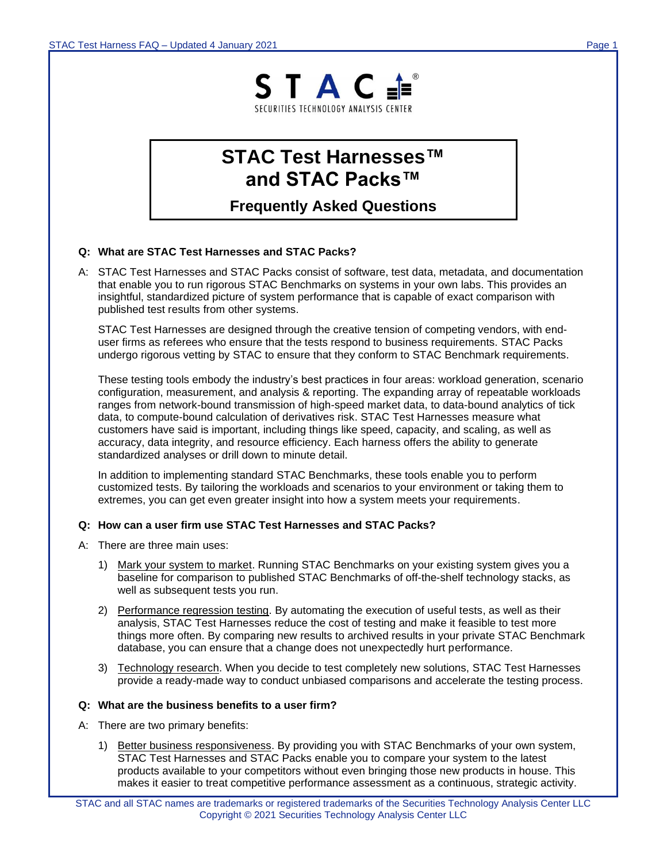

# **STAC Test Harnesses™ and STAC Packs™**

**Frequently Asked Questions**

## **Q: What are STAC Test Harnesses and STAC Packs?**

A: STAC Test Harnesses and STAC Packs consist of software, test data, metadata, and documentation that enable you to run rigorous STAC Benchmarks on systems in your own labs. This provides an insightful, standardized picture of system performance that is capable of exact comparison with published test results from other systems.

STAC Test Harnesses are designed through the creative tension of competing vendors, with enduser firms as referees who ensure that the tests respond to business requirements. STAC Packs undergo rigorous vetting by STAC to ensure that they conform to STAC Benchmark requirements.

These testing tools embody the industry's best practices in four areas: workload generation, scenario configuration, measurement, and analysis & reporting. The expanding array of repeatable workloads ranges from network-bound transmission of high-speed market data, to data-bound analytics of tick data, to compute-bound calculation of derivatives risk. STAC Test Harnesses measure what customers have said is important, including things like speed, capacity, and scaling, as well as accuracy, data integrity, and resource efficiency. Each harness offers the ability to generate standardized analyses or drill down to minute detail.

In addition to implementing standard STAC Benchmarks, these tools enable you to perform customized tests. By tailoring the workloads and scenarios to your environment or taking them to extremes, you can get even greater insight into how a system meets your requirements.

## **Q: How can a user firm use STAC Test Harnesses and STAC Packs?**

- A: There are three main uses:
	- 1) Mark your system to market. Running STAC Benchmarks on your existing system gives you a baseline for comparison to published STAC Benchmarks of off-the-shelf technology stacks, as well as subsequent tests you run.
	- 2) Performance regression testing. By automating the execution of useful tests, as well as their analysis, STAC Test Harnesses reduce the cost of testing and make it feasible to test more things more often. By comparing new results to archived results in your private STAC Benchmark database, you can ensure that a change does not unexpectedly hurt performance.
	- 3) Technology research. When you decide to test completely new solutions, STAC Test Harnesses provide a ready-made way to conduct unbiased comparisons and accelerate the testing process.

#### **Q: What are the business benefits to a user firm?**

- A: There are two primary benefits:
	- 1) Better business responsiveness. By providing you with STAC Benchmarks of your own system, STAC Test Harnesses and STAC Packs enable you to compare your system to the latest products available to your competitors without even bringing those new products in house. This makes it easier to treat competitive performance assessment as a continuous, strategic activity.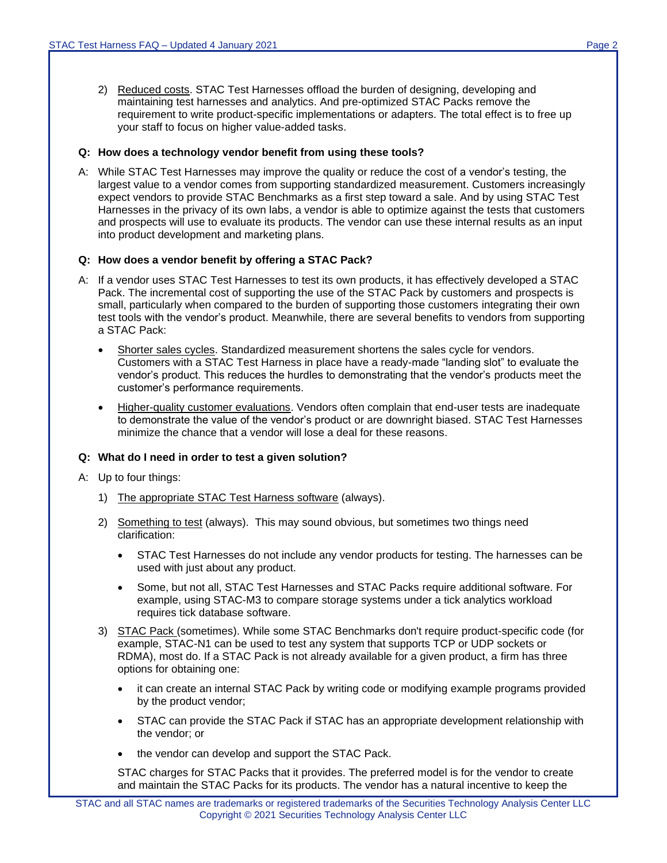2) Reduced costs. STAC Test Harnesses offload the burden of designing, developing and maintaining test harnesses and analytics. And pre-optimized STAC Packs remove the requirement to write product-specific implementations or adapters. The total effect is to free up your staff to focus on higher value-added tasks.

### **Q: How does a technology vendor benefit from using these tools?**

A: While STAC Test Harnesses may improve the quality or reduce the cost of a vendor's testing, the largest value to a vendor comes from supporting standardized measurement. Customers increasingly expect vendors to provide STAC Benchmarks as a first step toward a sale. And by using STAC Test Harnesses in the privacy of its own labs, a vendor is able to optimize against the tests that customers and prospects will use to evaluate its products. The vendor can use these internal results as an input into product development and marketing plans.

### **Q: How does a vendor benefit by offering a STAC Pack?**

- A: If a vendor uses STAC Test Harnesses to test its own products, it has effectively developed a STAC Pack. The incremental cost of supporting the use of the STAC Pack by customers and prospects is small, particularly when compared to the burden of supporting those customers integrating their own test tools with the vendor's product. Meanwhile, there are several benefits to vendors from supporting a STAC Pack:
	- Shorter sales cycles. Standardized measurement shortens the sales cycle for vendors. Customers with a STAC Test Harness in place have a ready-made "landing slot" to evaluate the vendor's product. This reduces the hurdles to demonstrating that the vendor's products meet the customer's performance requirements.
	- Higher-quality customer evaluations. Vendors often complain that end-user tests are inadequate to demonstrate the value of the vendor's product or are downright biased. STAC Test Harnesses minimize the chance that a vendor will lose a deal for these reasons.

## **Q: What do I need in order to test a given solution?**

- A: Up to four things:
	- 1) The appropriate STAC Test Harness software (always).
	- 2) Something to test (always). This may sound obvious, but sometimes two things need clarification:
		- STAC Test Harnesses do not include any vendor products for testing. The harnesses can be used with just about any product.
		- Some, but not all, STAC Test Harnesses and STAC Packs require additional software. For example, using STAC-M3 to compare storage systems under a tick analytics workload requires tick database software.
	- 3) STAC Pack (sometimes). While some STAC Benchmarks don't require product-specific code (for example, STAC-N1 can be used to test any system that supports TCP or UDP sockets or RDMA), most do. If a STAC Pack is not already available for a given product, a firm has three options for obtaining one:
		- it can create an internal STAC Pack by writing code or modifying example programs provided by the product vendor;
		- STAC can provide the STAC Pack if STAC has an appropriate development relationship with the vendor; or
		- the vendor can develop and support the STAC Pack.

STAC charges for STAC Packs that it provides. The preferred model is for the vendor to create and maintain the STAC Packs for its products. The vendor has a natural incentive to keep the